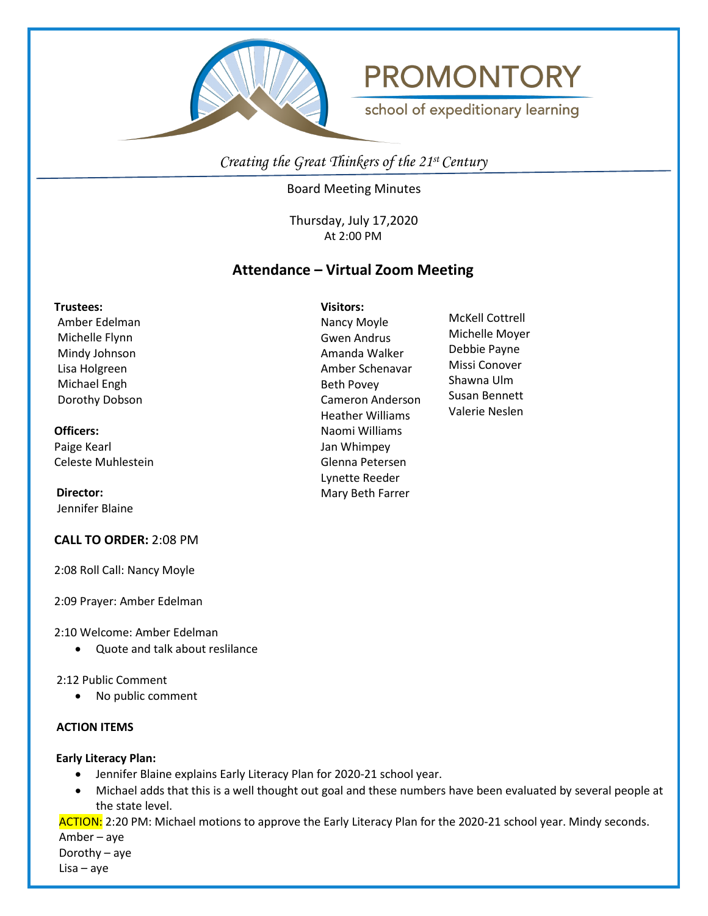



school of expeditionary learning

*Creating the Great Thinkers of the 21st Century*

Board Meeting Minutes

Thursday, July 17,2020 At 2:00 PM

# **Attendance – Virtual Zoom Meeting**

#### **Trustees:**

Amber Edelman Michelle Flynn Mindy Johnson Lisa Holgreen Michael Engh Dorothy Dobson

## **Officers:**

Paige Kearl Celeste Muhlestein

 **Director:** Jennifer Blaine

# **CALL TO ORDER:** 2:08 PM

2:08 Roll Call: Nancy Moyle

2:09 Prayer: Amber Edelman

#### 2:10 Welcome: Amber Edelman

• Quote and talk about reslilance

## 2:12 Public Comment

• No public comment

## **ACTION ITEMS**

#### **Early Literacy Plan:**

- Jennifer Blaine explains Early Literacy Plan for 2020-21 school year.
- Michael adds that this is a well thought out goal and these numbers have been evaluated by several people at the state level.

ACTION: 2:20 PM: Michael motions to approve the Early Literacy Plan for the 2020-21 school year. Mindy seconds.

 Amber – aye Dorothy – aye

 $\overline{a}$ 

**Visitors:** Nancy Moyle Gwen Andrus Amanda Walker Amber Schenavar Beth Povey Cameron Anderson Heather Williams Naomi Williams Jan Whimpey Glenna Petersen Lynette Reeder Mary Beth Farrer

McKell Cottrell Michelle Moyer Debbie Payne Missi Conover Shawna Ulm Susan Bennett Valerie Neslen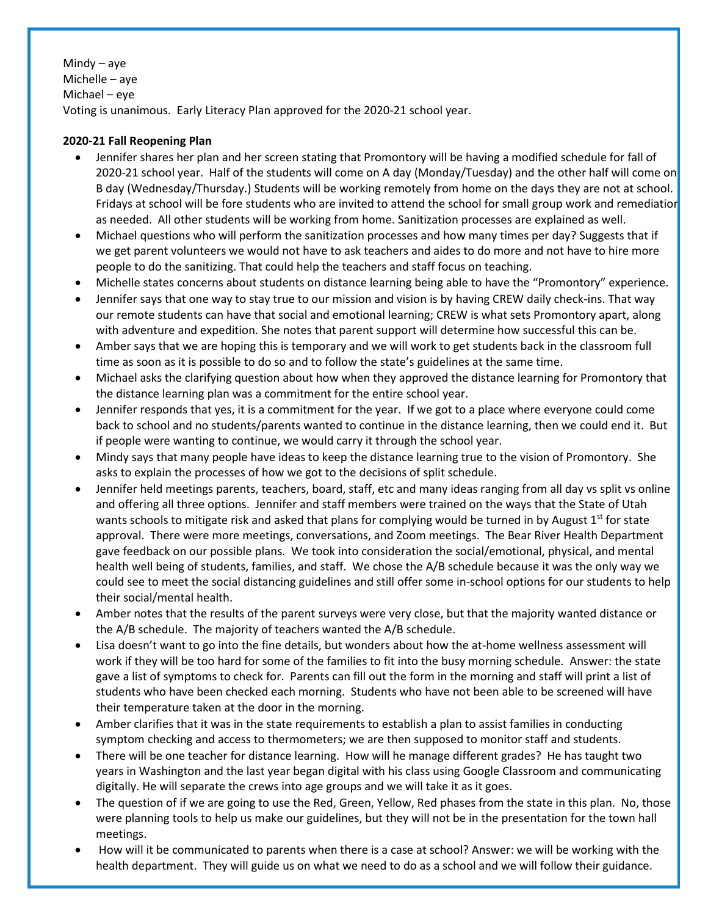Mindy – aye Michelle – aye Michael – eye Voting is unanimous. Early Literacy Plan approved for the 2020-21 school year.

#### **2020-21 Fall Reopening Plan**

- Jennifer shares her plan and her screen stating that Promontory will be having a modified schedule for fall of 2020-21 school year. Half of the students will come on A day (Monday/Tuesday) and the other half will come on B day (Wednesday/Thursday.) Students will be working remotely from home on the days they are not at school. Fridays at school will be fore students who are invited to attend the school for small group work and remediation as needed. All other students will be working from home. Sanitization processes are explained as well.
- Michael questions who will perform the sanitization processes and how many times per day? Suggests that if we get parent volunteers we would not have to ask teachers and aides to do more and not have to hire more people to do the sanitizing. That could help the teachers and staff focus on teaching.
- Michelle states concerns about students on distance learning being able to have the "Promontory" experience.
- Jennifer says that one way to stay true to our mission and vision is by having CREW daily check-ins. That way our remote students can have that social and emotional learning; CREW is what sets Promontory apart, along with adventure and expedition. She notes that parent support will determine how successful this can be.
- Amber says that we are hoping this is temporary and we will work to get students back in the classroom full time as soon as it is possible to do so and to follow the state's guidelines at the same time.
- Michael asks the clarifying question about how when they approved the distance learning for Promontory that the distance learning plan was a commitment for the entire school year.
- Jennifer responds that yes, it is a commitment for the year. If we got to a place where everyone could come back to school and no students/parents wanted to continue in the distance learning, then we could end it. But if people were wanting to continue, we would carry it through the school year.
- Mindy says that many people have ideas to keep the distance learning true to the vision of Promontory. She asks to explain the processes of how we got to the decisions of split schedule.
- Jennifer held meetings parents, teachers, board, staff, etc and many ideas ranging from all day vs split vs online and offering all three options. Jennifer and staff members were trained on the ways that the State of Utah wants schools to mitigate risk and asked that plans for complying would be turned in by August  $1<sup>st</sup>$  for state approval. There were more meetings, conversations, and Zoom meetings. The Bear River Health Department gave feedback on our possible plans. We took into consideration the social/emotional, physical, and mental health well being of students, families, and staff. We chose the A/B schedule because it was the only way we could see to meet the social distancing guidelines and still offer some in-school options for our students to help their social/mental health.
- Amber notes that the results of the parent surveys were very close, but that the majority wanted distance or the A/B schedule. The majority of teachers wanted the A/B schedule.
- Lisa doesn't want to go into the fine details, but wonders about how the at-home wellness assessment will work if they will be too hard for some of the families to fit into the busy morning schedule. Answer: the state gave a list of symptoms to check for. Parents can fill out the form in the morning and staff will print a list of students who have been checked each morning. Students who have not been able to be screened will have their temperature taken at the door in the morning.
- Amber clarifies that it was in the state requirements to establish a plan to assist families in conducting symptom checking and access to thermometers; we are then supposed to monitor staff and students.
- There will be one teacher for distance learning. How will he manage different grades? He has taught two years in Washington and the last year began digital with his class using Google Classroom and communicating digitally. He will separate the crews into age groups and we will take it as it goes.
- The question of if we are going to use the Red, Green, Yellow, Red phases from the state in this plan. No, those were planning tools to help us make our guidelines, but they will not be in the presentation for the town hall meetings.
- How will it be communicated to parents when there is a case at school? Answer: we will be working with the health department. They will guide us on what we need to do as a school and we will follow their guidance.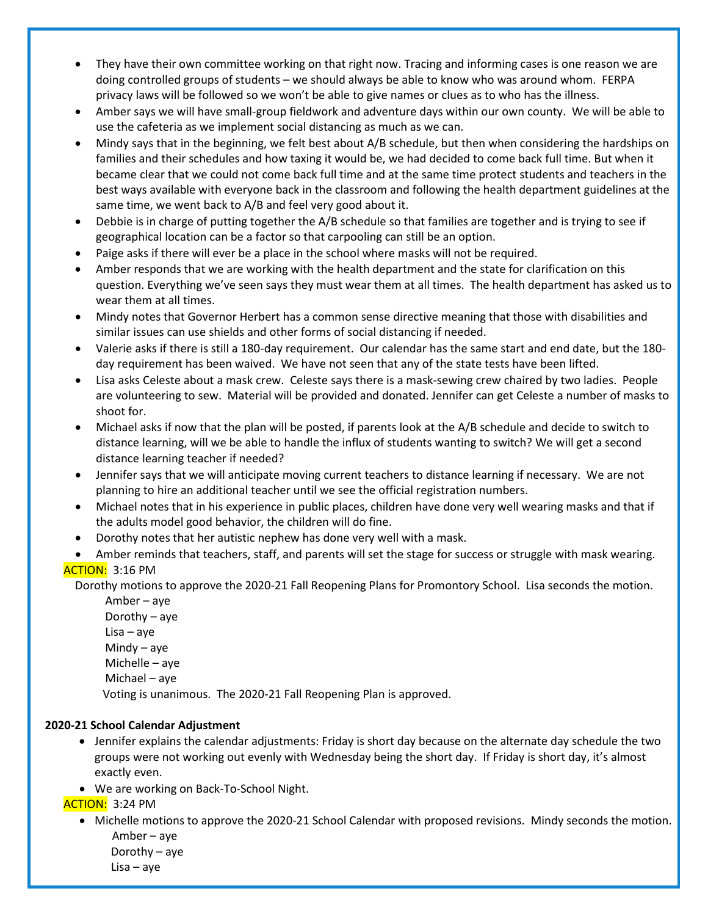- They have their own committee working on that right now. Tracing and informing cases is one reason we are doing controlled groups of students – we should always be able to know who was around whom. FERPA privacy laws will be followed so we won't be able to give names or clues as to who has the illness.
- Amber says we will have small-group fieldwork and adventure days within our own county. We will be able to use the cafeteria as we implement social distancing as much as we can.
- Mindy says that in the beginning, we felt best about A/B schedule, but then when considering the hardships on families and their schedules and how taxing it would be, we had decided to come back full time. But when it became clear that we could not come back full time and at the same time protect students and teachers in the best ways available with everyone back in the classroom and following the health department guidelines at the same time, we went back to A/B and feel very good about it.
- Debbie is in charge of putting together the A/B schedule so that families are together and is trying to see if geographical location can be a factor so that carpooling can still be an option.
- Paige asks if there will ever be a place in the school where masks will not be required.
- Amber responds that we are working with the health department and the state for clarification on this question. Everything we've seen says they must wear them at all times. The health department has asked us to wear them at all times.
- Mindy notes that Governor Herbert has a common sense directive meaning that those with disabilities and similar issues can use shields and other forms of social distancing if needed.
- Valerie asks if there is still a 180-day requirement. Our calendar has the same start and end date, but the 180 day requirement has been waived. We have not seen that any of the state tests have been lifted.
- Lisa asks Celeste about a mask crew. Celeste says there is a mask-sewing crew chaired by two ladies. People are volunteering to sew. Material will be provided and donated. Jennifer can get Celeste a number of masks to shoot for.
- Michael asks if now that the plan will be posted, if parents look at the A/B schedule and decide to switch to distance learning, will we be able to handle the influx of students wanting to switch? We will get a second distance learning teacher if needed?
- Jennifer says that we will anticipate moving current teachers to distance learning if necessary. We are not planning to hire an additional teacher until we see the official registration numbers.
- Michael notes that in his experience in public places, children have done very well wearing masks and that if the adults model good behavior, the children will do fine.
- Dorothy notes that her autistic nephew has done very well with a mask.
- Amber reminds that teachers, staff, and parents will set the stage for success or struggle with mask wearing.

# ACTION: 3:16 PM

Dorothy motions to approve the 2020-21 Fall Reopening Plans for Promontory School. Lisa seconds the motion.

Amber – aye Dorothy – aye Lisa – aye Mindy – aye Michelle – aye Michael – aye Voting is unanimous. The 2020-21 Fall Reopening Plan is approved.

## **2020-21 School Calendar Adjustment**

- Jennifer explains the calendar adjustments: Friday is short day because on the alternate day schedule the two groups were not working out evenly with Wednesday being the short day. If Friday is short day, it's almost exactly even.
- We are working on Back-To-School Night.

# ACTION: 3:24 PM

• Michelle motions to approve the 2020-21 School Calendar with proposed revisions. Mindy seconds the motion. Amber – aye

 Dorothy – aye Lisa – aye